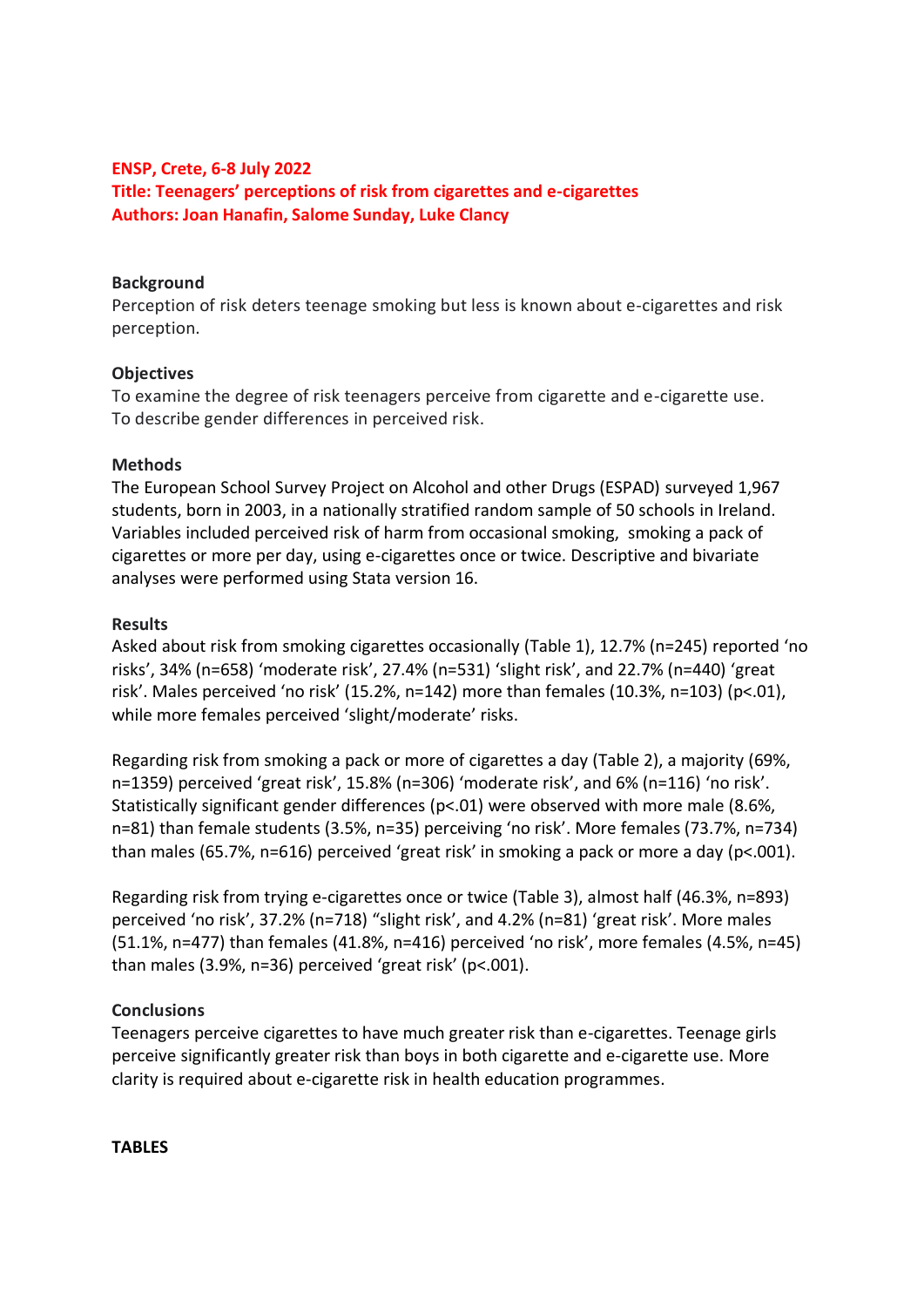## **ENSP, Crete, 6-8 July 2022 Title: Teenagers' perceptions of risk from cigarettes and e-cigarettes Authors: Joan Hanafin, Salome Sunday, Luke Clancy**

## **Background**

Perception of risk deters teenage smoking but less is known about e-cigarettes and risk perception.

#### **Objectives**

To examine the degree of risk teenagers perceive from cigarette and e-cigarette use. To describe gender differences in perceived risk.

#### **Methods**

The European School Survey Project on Alcohol and other Drugs (ESPAD) surveyed 1,967 students, born in 2003, in a nationally stratified random sample of 50 schools in Ireland. Variables included perceived risk of harm from occasional smoking, smoking a pack of cigarettes or more per day, using e-cigarettes once or twice. Descriptive and bivariate analyses were performed using Stata version 16.

## **Results**

Asked about risk from smoking cigarettes occasionally (Table 1), 12.7% (n=245) reported 'no risks', 34% (n=658) 'moderate risk', 27.4% (n=531) 'slight risk', and 22.7% (n=440) 'great risk'. Males perceived 'no risk' (15.2%, n=142) more than females (10.3%, n=103) (p<.01), while more females perceived 'slight/moderate' risks.

Regarding risk from smoking a pack or more of cigarettes a day (Table 2), a majority (69%, n=1359) perceived 'great risk', 15.8% (n=306) 'moderate risk', and 6% (n=116) 'no risk'. Statistically significant gender differences (p<.01) were observed with more male (8.6%, n=81) than female students (3.5%, n=35) perceiving 'no risk'. More females (73.7%, n=734) than males (65.7%, n=616) perceived 'great risk' in smoking a pack or more a day (p<.001).

Regarding risk from trying e-cigarettes once or twice (Table 3), almost half (46.3%, n=893) perceived 'no risk', 37.2% (n=718) "slight risk', and 4.2% (n=81) 'great risk'. More males (51.1%, n=477) than females (41.8%, n=416) perceived 'no risk', more females (4.5%, n=45) than males (3.9%, n=36) perceived 'great risk' (p<.001).

# **Conclusions**

Teenagers perceive cigarettes to have much greater risk than e-cigarettes. Teenage girls perceive significantly greater risk than boys in both cigarette and e-cigarette use. More clarity is required about e-cigarette risk in health education programmes.

**TABLES**